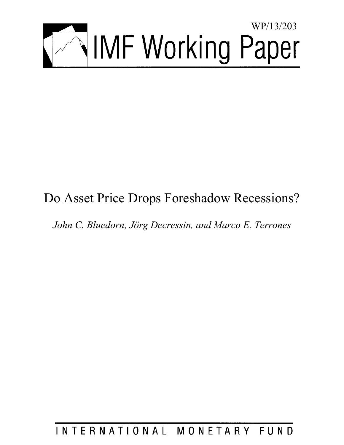

# Do Asset Price Drops Foreshadow Recessions?

*John C. Bluedorn, Jörg Decressin, and Marco E. Terrones* 

# INTERNATIONAL MONETARY FUND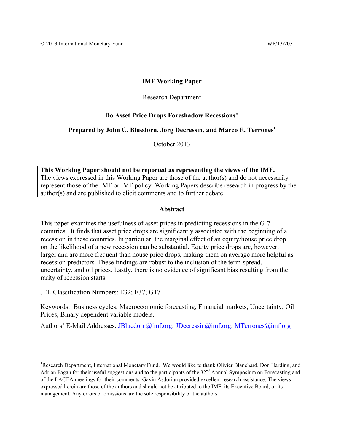### **IMF Working Paper**

#### Research Department

#### **Do Asset Price Drops Foreshadow Recessions?**

#### **Prepared by John C. Bluedorn, Jörg Decressin, and Marco E. Terrones<sup>1</sup>**

October 2013

**This Working Paper should not be reported as representing the views of the IMF.**  The views expressed in this Working Paper are those of the author(s) and do not necessarily represent those of the IMF or IMF policy. Working Papers describe research in progress by the author(s) and are published to elicit comments and to further debate.

#### **Abstract**

This paper examines the usefulness of asset prices in predicting recessions in the G-7 countries. It finds that asset price drops are significantly associated with the beginning of a recession in these countries. In particular, the marginal effect of an equity/house price drop on the likelihood of a new recession can be substantial. Equity price drops are, however, larger and are more frequent than house price drops, making them on average more helpful as recession predictors. These findings are robust to the inclusion of the term-spread, uncertainty, and oil prices. Lastly, there is no evidence of significant bias resulting from the rarity of recession starts.

JEL Classification Numbers: E32; E37; G17

Keywords: Business cycles; Macroeconomic forecasting; Financial markets; Uncertainty; Oil Prices; Binary dependent variable models.

Authors' E-Mail Addresses: *JBluedorn@imf.org*; *JDecressin@imf.org*; *MTerrones@imf.org* 

<sup>&</sup>lt;sup>1</sup>Research Department, International Monetary Fund. We would like to thank Olivier Blanchard, Don Harding, and Adrian Pagan for their useful suggestions and to the participants of the  $32<sup>nd</sup>$  Annual Symposium on Forecasting and of the LACEA meetings for their comments. Gavin Asdorian provided excellent research assistance. The views expressed herein are those of the authors and should not be attributed to the IMF, its Executive Board, or its management. Any errors or omissions are the sole responsibility of the authors.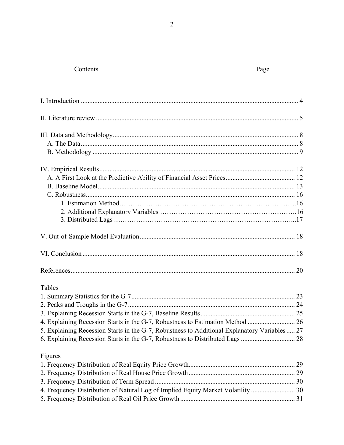# Contents

# Page

| Tables                                                                                        |  |
|-----------------------------------------------------------------------------------------------|--|
|                                                                                               |  |
|                                                                                               |  |
|                                                                                               |  |
|                                                                                               |  |
| 5. Explaining Recession Starts in the G-7, Robustness to Additional Explanatory Variables  27 |  |
|                                                                                               |  |
| Figures                                                                                       |  |
|                                                                                               |  |
|                                                                                               |  |
|                                                                                               |  |
| 4. Frequency Distribution of Natural Log of Implied Equity Market Volatility  30              |  |
|                                                                                               |  |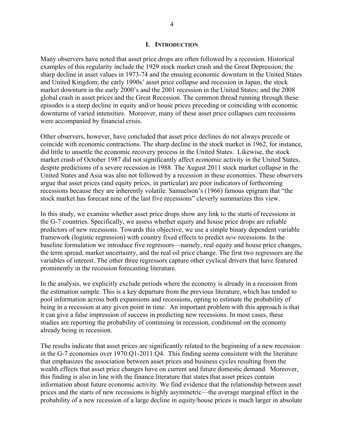#### **I. INTRODUCTION**

Many observers have noted that asset price drops are often followed by a recession. Historical examples of this regularity include the 1929 stock market crash and the Great Depression; the sharp decline in asset values in 1973-74 and the ensuing economic downturn in the United States and United Kingdom; the early 1990s' asset price collapse and recession in Japan; the stock market downturn in the early 2000's and the 2001 recession in the United States; and the 2008 global crash in asset prices and the Great Recession. The common thread running through these episodes is a steep decline in equity and/or house prices preceding or coinciding with economic downturns of varied intensities. Moreover, many of these asset price collapses cum recessions were accompanied by financial crisis.

Other observers, however, have concluded that asset price declines do not always precede or coincide with economic contractions. The sharp decline in the stock market in 1962, for instance, did little to unsettle the economic recovery process in the United States. Likewise, the stock market crash of October 1987 did not significantly affect economic activity in the United States, despite predictions of a severe recession in 1988. The August 2011 stock market collapse in the United States and Asia was also not followed by a recession in these economies. These observers argue that asset prices (and equity prices, in particular) are poor indicators of forthcoming recessions because they are inherently volatile. Samuelson's (1966) famous epigram that "the stock market has forecast nine of the last five recessions" cleverly summarizes this view.

In this study, we examine whether asset price drops show any link to the starts of recessions in the G-7 countries. Specifically, we assess whether equity and house price drops are reliable predictors of new recessions. Towards this objective, we use a simple binary dependent variable framework (logistic regression) with country fixed effects to predict *new* recessions. In the baseline formulation we introduce five regressors—namely, real equity and house price changes, the term spread, market uncertainty, and the real oil price change. The first two regressors are the variables of interest. The other three regressors capture other cyclical drivers that have featured prominently in the recession forecasting literature.

In the analysis, we explicitly exclude periods where the economy is already in a recession from the estimation sample. This is a key departure from the previous literature, which has tended to pool information across both expansions and recessions, opting to estimate the probability of being in a recession at any given point in time. An important problem with this approach is that it can give a false impression of success in predicting new recessions. In most cases, these studies are reporting the probability of continuing in recession, conditional on the economy already being in recession.

The results indicate that asset prices are significantly related to the beginning of a new recession in the G-7 economies over 1970:Q1-2011:Q4. This finding seems consistent with the literature that emphasizes the association between asset prices and business cycles resulting from the wealth effects that asset price changes have on current and future domestic demand. Moreover, this finding is also in line with the finance literature that states that asset prices contain information about future economic activity. We find evidence that the relationship between asset prices and the starts of new recessions is highly asymmetric—the average marginal effect in the probability of a new recession of a large decline in equity/house prices is much larger in absolute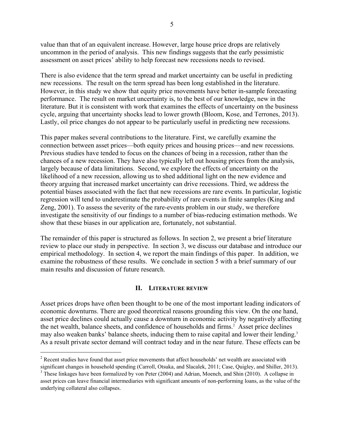value than that of an equivalent increase. However, large house price drops are relatively uncommon in the period of analysis. This new findings suggests that the early pessimistic assessment on asset prices' ability to help forecast new recessions needs to revised.

There is also evidence that the term spread and market uncertainty can be useful in predicting new recessions. The result on the term spread has been long established in the literature. However, in this study we show that equity price movements have better in-sample forecasting performance. The result on market uncertainty is, to the best of our knowledge, new in the literature. But it is consistent with work that examines the effects of uncertainty on the business cycle, arguing that uncertainty shocks lead to lower growth (Bloom, Kose, and Terrones, 2013). Lastly, oil price changes do not appear to be particularly useful in predicting new recessions.

This paper makes several contributions to the literature. First, we carefully examine the connection between asset prices—both equity prices and housing prices—and new recessions. Previous studies have tended to focus on the chances of being in a recession, rather than the chances of a new recession. They have also typically left out housing prices from the analysis, largely because of data limitations. Second, we explore the effects of uncertainty on the likelihood of a new recession, allowing us to shed additional light on the new evidence and theory arguing that increased market uncertainty can drive recessions. Third, we address the potential biases associated with the fact that new recessions are rare events. In particular, logistic regression will tend to underestimate the probability of rare events in finite samples (King and Zeng, 2001). To assess the severity of the rare-events problem in our study, we therefore investigate the sensitivity of our findings to a number of bias-reducing estimation methods. We show that these biases in our application are, fortunately, not substantial.

The remainder of this paper is structured as follows. In section 2, we present a brief literature review to place our study in perspective. In section 3, we discuss our database and introduce our empirical methodology. In section 4, we report the main findings of this paper. In addition, we examine the robustness of these results. We conclude in section 5 with a brief summary of our main results and discussion of future research.

#### **II. LITERATURE REVIEW**

Asset prices drops have often been thought to be one of the most important leading indicators of economic downturns. There are good theoretical reasons grounding this view. On the one hand, asset price declines could actually cause a downturn in economic activity by negatively affecting the net wealth, balance sheets, and confidence of households and firms.<sup>2</sup> Asset price declines may also weaken banks' balance sheets, inducing them to raise capital and lower their lending.<sup>3</sup> As a result private sector demand will contract today and in the near future. These effects can be

<sup>&</sup>lt;sup>2</sup> Recent studies have found that asset price movements that affect households' net wealth are associated with significant changes in household spending (Carroll, Otsuka, and Slacalek, 2011; Case, Quigley, and Shiller, 2013).

<sup>&</sup>lt;sup>3</sup> These linkages have been formalized by von Peter (2004) and Adrian, Moench, and Shin (2010). A collapse in asset prices can leave financial intermediaries with significant amounts of non-performing loans, as the value of the underlying collateral also collapses.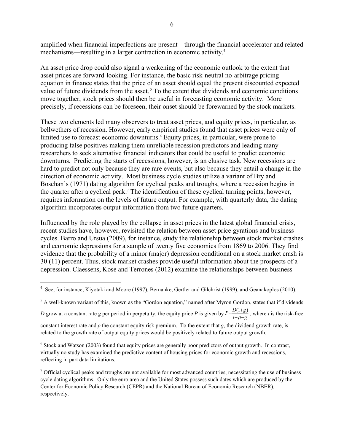amplified when financial imperfections are present—through the financial accelerator and related mechanisms—resulting in a larger contraction in economic activity.<sup>4</sup>

An asset price drop could also signal a weakening of the economic outlook to the extent that asset prices are forward-looking. For instance, the basic risk-neutral no-arbitrage pricing equation in finance states that the price of an asset should equal the present discounted expected value of future dividends from the asset.<sup>5</sup> To the extent that dividends and economic conditions move together, stock prices should then be useful in forecasting economic activity. More precisely, if recessions can be foreseen, their onset should be forewarned by the stock markets.

These two elements led many observers to treat asset prices, and equity prices, in particular, as bellwethers of recession. However, early empirical studies found that asset prices were only of limited use to forecast economic downturns.<sup>6</sup> Equity prices, in particular, were prone to producing false positives making them unreliable recession predictors and leading many researchers to seek alternative financial indicators that could be useful to predict economic downturns. Predicting the starts of recessions, however, is an elusive task. New recessions are hard to predict not only because they are rare events, but also because they entail a change in the direction of economic activity. Most business cycle studies utilize a variant of Bry and Boschan's (1971) dating algorithm for cyclical peaks and troughs, where a recession begins in the quarter after a cyclical peak.<sup>7</sup> The identification of these cyclical turning points, however, requires information on the levels of future output. For example, with quarterly data, the dating algorithm incorporates output information from two future quarters.

Influenced by the role played by the collapse in asset prices in the latest global financial crisis, recent studies have, however, revisited the relation between asset price gyrations and business cycles. Barro and Ursua (2009), for instance, study the relationship between stock market crashes and economic depressions for a sample of twenty five economies from 1869 to 2006. They find evidence that the probability of a minor (major) depression conditional on a stock market crash is 30 (11) percent. Thus, stock market crashes provide useful information about the prospects of a depression. Claessens, Kose and Terrones (2012) examine the relationships between business

<sup>5</sup> A well-known variant of this, known as the "Gordon equation," named after Myron Gordon, states that if dividends

*D* grow at a constant rate *g* per period in perpetuity, the equity price *P* is given by  $P = \frac{D(1+g)}{i+\rho-g}$ , where *i* is the risk-free

 $\overline{a}$ 

constant interest rate and  $\rho$  the constant equity risk premium. To the extent that *g*, the dividend growth rate, is related to the growth rate of output equity prices would be positively related to future output growth.

 $6$  Stock and Watson (2003) found that equity prices are generally poor predictors of output growth. In contrast, virtually no study has examined the predictive content of housing prices for economic growth and recessions, reflecting in part data limitations.

 $<sup>7</sup>$  Official cyclical peaks and troughs are not available for most advanced countries, necessitating the use of business</sup> cycle dating algorithms. Only the euro area and the United States possess such dates which are produced by the Center for Economic Policy Research (CEPR) and the National Bureau of Economic Research (NBER), respectively.

<sup>&</sup>lt;sup>4</sup> See, for instance, Kiyotaki and Moore (1997), Bernanke, Gertler and Gilchrist (1999), and Geanakoplos (2010).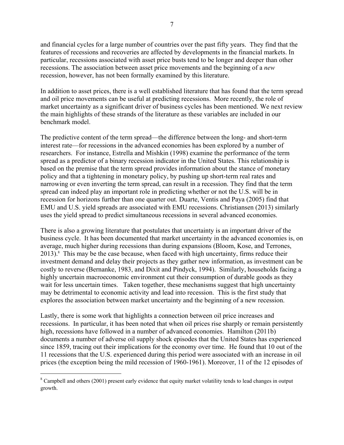and financial cycles for a large number of countries over the past fifty years. They find that the features of recessions and recoveries are affected by developments in the financial markets. In particular, recessions associated with asset price busts tend to be longer and deeper than other recessions. The association between asset price movements and the beginning of a *new* recession, however, has not been formally examined by this literature.

In addition to asset prices, there is a well established literature that has found that the term spread and oil price movements can be useful at predicting recessions. More recently, the role of market uncertainty as a significant driver of business cycles has been mentioned. We next review the main highlights of these strands of the literature as these variables are included in our benchmark model.

The predictive content of the term spread—the difference between the long- and short-term interest rate—for recessions in the advanced economies has been explored by a number of researchers. For instance, Estrella and Mishkin (1998) examine the performance of the term spread as a predictor of a binary recession indicator in the United States. This relationship is based on the premise that the term spread provides information about the stance of monetary policy and that a tightening in monetary policy, by pushing up short-term real rates and narrowing or even inverting the term spread, can result in a recession. They find that the term spread can indeed play an important role in predicting whether or not the U.S. will be in recession for horizons further than one quarter out. Duarte, Ventis and Paya (2005) find that EMU and U.S. yield spreads are associated with EMU recessions. Christiansen (2013) similarly uses the yield spread to predict simultaneous recessions in several advanced economies.

There is also a growing literature that postulates that uncertainty is an important driver of the business cycle. It has been documented that market uncertainty in the advanced economies is, on average, much higher during recessions than during expansions (Bloom, Kose, and Terrones, 2013).<sup>8</sup> This may be the case because, when faced with high uncertainty, firms reduce their investment demand and delay their projects as they gather new information, as investment can be costly to reverse (Bernanke, 1983, and Dixit and Pindyck, 1994). Similarly, households facing a highly uncertain macroeconomic environment cut their consumption of durable goods as they wait for less uncertain times. Taken together, these mechanisms suggest that high uncertainty may be detrimental to economic activity and lead into recession. This is the first study that explores the association between market uncertainty and the beginning of a new recession.

Lastly, there is some work that highlights a connection between oil price increases and recessions. In particular, it has been noted that when oil prices rise sharply or remain persistently high, recessions have followed in a number of advanced economies. Hamilton (2011b) documents a number of adverse oil supply shock episodes that the United States has experienced since 1859, tracing out their implications for the economy over time. He found that 10 out of the 11 recessions that the U.S. experienced during this period were associated with an increase in oil prices (the exception being the mild recession of 1960-1961). Moreover, 11 of the 12 episodes of

 $8$  Campbell and others (2001) present early evidence that equity market volatility tends to lead changes in output growth.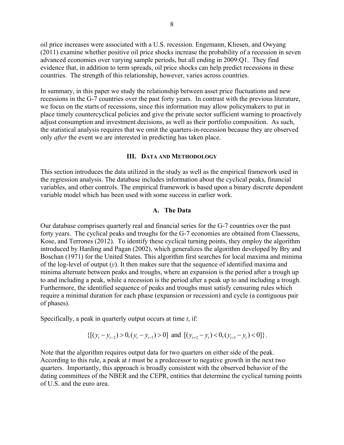oil price increases were associated with a U.S. recession. Engemann, Kliesen, and Owyang (2011) examine whether positive oil price shocks increase the probability of a recession in seven advanced economies over varying sample periods, but all ending in 2009:Q1. They find evidence that, in addition to term spreads, oil price shocks can help predict recessions in these countries. The strength of this relationship, however, varies across countries.

In summary, in this paper we study the relationship between asset price fluctuations and new recessions in the G-7 countries over the past forty years. In contrast with the previous literature, we focus on the starts of recessions, since this information may allow policymakers to put in place timely countercyclical policies and give the private sector sufficient warning to proactively adjust consumption and investment decisions, as well as their portfolio composition. As such, the statistical analysis requires that we omit the quarters-in-recession because they are observed only *after* the event we are interested in predicting has taken place.

#### **III. DATA AND METHODOLOGY**

This section introduces the data utilized in the study as well as the empirical framework used in the regression analysis. The database includes information about the cyclical peaks, financial variables, and other controls. The empirical framework is based upon a binary discrete dependent variable model which has been used with some success in earlier work.

#### **A. The Data**

Our database comprises quarterly real and financial series for the G-7 countries over the past forty years. The cyclical peaks and troughs for the G-7 economies are obtained from Claessens, Kose, and Terrones (2012). To identify these cyclical turning points, they employ the algorithm introduced by Harding and Pagan (2002), which generalizes the algorithm developed by Bry and Boschan (1971) for the United States. This algorithm first searches for local maxima and minima of the log-level of output  $(y)$ . It then makes sure that the sequence of identified maxima and minima alternate between peaks and troughs, where an expansion is the period after a trough up to and including a peak, while a recession is the period after a peak up to and including a trough. Furthermore, the identified sequence of peaks and troughs must satisfy censuring rules which require a minimal duration for each phase (expansion or recession) and cycle (a contiguous pair of phases).

Specifically, a peak in quarterly output occurs at time *t*, if:

 $\{[(y_t - y_{t-2}) > 0, (y_t - y_{t-1}) > 0] \text{ and } [(y_{t+2} - y_t) < 0, (y_{t+1} - y_t) < 0]\}.$ 

Note that the algorithm requires output data for two quarters on either side of the peak. According to this rule, a peak at *t* must be a predecessor to negative growth in the next two quarters. Importantly, this approach is broadly consistent with the observed behavior of the dating committees of the NBER and the CEPR, entities that determine the cyclical turning points of U.S. and the euro area.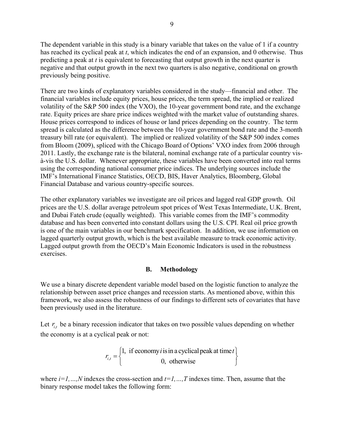The dependent variable in this study is a binary variable that takes on the value of 1 if a country has reached its cyclical peak at *t*, which indicates the end of an expansion, and 0 otherwise. Thus predicting a peak at *t* is equivalent to forecasting that output growth in the next quarter is negative and that output growth in the next two quarters is also negative, conditional on growth previously being positive.

There are two kinds of explanatory variables considered in the study—financial and other. The financial variables include equity prices, house prices, the term spread, the implied or realized volatility of the S&P 500 index (the VXO), the 10-year government bond rate, and the exchange rate. Equity prices are share price indices weighted with the market value of outstanding shares. House prices correspond to indices of house or land prices depending on the country. The term spread is calculated as the difference between the 10-year government bond rate and the 3-month treasury bill rate (or equivalent). The implied or realized volatility of the S&P 500 index comes from Bloom (2009), spliced with the Chicago Board of Options' VXO index from 2006 through 2011. Lastly, the exchange rate is the bilateral, nominal exchange rate of a particular country visà-vis the U.S. dollar. Whenever appropriate, these variables have been converted into real terms using the corresponding national consumer price indices. The underlying sources include the IMF's International Finance Statistics, OECD, BIS, Haver Analytics, Bloomberg, Global Financial Database and various country-specific sources.

The other explanatory variables we investigate are oil prices and lagged real GDP growth. Oil prices are the U.S. dollar average petroleum spot prices of West Texas Intermediate, U.K. Brent, and Dubai Fateh crude (equally weighted). This variable comes from the IMF's commodity database and has been converted into constant dollars using the U.S. CPI. Real oil price growth is one of the main variables in our benchmark specification. In addition, we use information on lagged quarterly output growth, which is the best available measure to track economic activity. Lagged output growth from the OECD's Main Economic Indicators is used in the robustness exercises.

#### **B. Methodology**

We use a binary discrete dependent variable model based on the logistic function to analyze the relationship between asset price changes and recession starts. As mentioned above, within this framework, we also assess the robustness of our findings to different sets of covariates that have been previously used in the literature.

Let  $r_{i}$  be a binary recession indicator that takes on two possible values depending on whether the economy is at a cyclical peak or not:

$$
r_{i,t} = \begin{cases} 1, & \text{if economy } i \text{ is in a cyclical peak at time } t \\ 0, & \text{otherwise} \end{cases}
$$

where  $i=1,...,N$  indexes the cross-section and  $t=1,...,T$  indexes time. Then, assume that the binary response model takes the following form: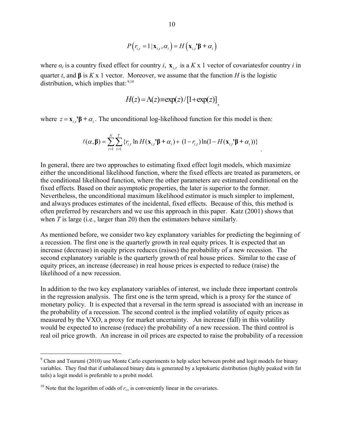$$
P(r_{i,t} = 1 | \mathbf{x}_{i,t}, \alpha_i) = H(\mathbf{x}_{i,t}^{\prime} \mathbf{\beta} + \alpha_i)
$$

where  $\alpha_i$  is a country fixed effect for country *i*,  $\mathbf{x}_{i}$ , is a *K* x 1 vector of covariatesfor country *i* in quarter *t*, and  $\beta$  is *K* x 1 vector. Moreover, we assume that the function *H* is the logistic distribution, which implies that: 9,10

$$
H(z) = \Lambda(z) \equiv \exp(z) / [1 + \exp(z)]
$$

where  $z = x_{i} \cdot \beta + \alpha_{i}$ . The unconditional log-likelihood function for this model is then:

,, , , 1 1 ( , ) { ln ( ) (1 ) ln(1 ( ))} *N T it it i it it i i t rH r H* **<sup>β</sup> x '<sup>β</sup> + x '<sup>β</sup> <sup>+</sup>**

.

In general, there are two approaches to estimating fixed effect logit models, which maximize either the unconditional likelihood function, where the fixed effects are treated as parameters, or the conditional likelihood function, where the other parameters are estimated conditional on the fixed effects. Based on their asymptotic properties, the later is superior to the former. Nevertheless, the unconditional maximum likelihood estimator is much simpler to implement, and always produces estimates of the incidental, fixed effects. Because of this, this method is often preferred by researchers and we use this approach in this paper. Katz (2001) shows that when *T* is large (i.e., larger than 20) then the estimators behave similarly.

As mentioned before, we consider two key explanatory variables for predicting the beginning of a recession. The first one is the quarterly growth in real equity prices. It is expected that an increase (decrease) in equity prices reduces (raises) the probability of a new recession. The second explanatory variable is the quarterly growth of real house prices. Similar to the case of equity prices, an increase (decrease) in real house prices is expected to reduce (raise) the likelihood of a new recession.

In addition to the two key explanatory variables of interest, we include three important controls in the regression analysis. The first one is the term spread, which is a proxy for the stance of monetary policy. It is expected that a reversal in the term spread is associated with an increase in the probability of a recession. The second control is the implied volatility of equity prices as measured by the VXO, a proxy for market uncertainty. An increase (fall) in this volatility would be expected to increase (reduce) the probability of a new recession. The third control is real oil price growth. An increase in oil prices are expected to raise the probability of a recession

 $9^9$  Chen and Tsurumi (2010) use Monte Carlo experiments to help select between probit and logit models for binary variables. They find that if unbalanced binary data is generated by a leptokurtic distribution (highly peaked with fat tails) a logit model is preferable to a probit model.

<sup>&</sup>lt;sup>10</sup> Note that the logarithm of odds of  $r_{i,t}$  is conveniently linear in the covariates.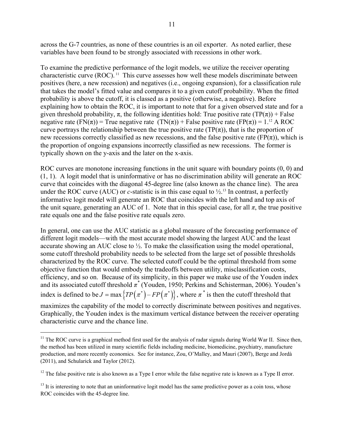across the G-7 countries, as none of these countries is an oil exporter. As noted earlier, these variables have been found to be strongly associated with recessions in other work.

To examine the predictive performance of the logit models, we utilize the receiver operating characteristic curve (ROC). 11 This curve assesses how well these models discriminate between positives (here, a new recession) and negatives (i.e., ongoing expansion), for a classification rule that takes the model's fitted value and compares it to a given cutoff probability. When the fitted probability is above the cutoff, it is classed as a positive (otherwise, a negative). Before explaining how to obtain the ROC, it is important to note that for a given observed state and for a given threshold probability,  $\pi$ , the following identities hold: True positive rate (TP( $\pi$ )) + False negative rate (FN( $\pi$ )) = True negative rate (TN( $\pi$ )) + False positive rate (FP( $\pi$ )) = 1.<sup>12</sup> A ROC curve portrays the relationship between the true positive rate (TP $(\pi)$ ), that is the proportion of new recessions correctly classified as new recessions, and the false positive rate (FP $(\pi)$ ), which is the proportion of ongoing expansions incorrectly classified as new recessions. The former is typically shown on the y-axis and the later on the x-axis.

ROC curves are monotone increasing functions in the unit square with boundary points  $(0, 0)$  and (1, 1). A logit model that is uninformative or has no discrimination ability will generate an ROC curve that coincides with the diagonal 45-degree line (also known as the chance line). The area under the ROC curve (AUC) or *c*-statistic is in this case equal to  $\frac{1}{2}$ .<sup>13</sup> In contrast, a perfectly informative logit model will generate an ROC that coincides with the left hand and top axis of the unit square, generating an AUC of 1. Note that in this special case, for all  $\pi$ , the true positive rate equals one and the false positive rate equals zero.

In general, one can use the AUC statistic as a global measure of the forecasting performance of different logit models—with the most accurate model showing the largest AUC and the least accurate showing an AUC close to ½. To make the classification using the model operational, some cutoff threshold probability needs to be selected from the large set of possible thresholds characterized by the ROC curve. The selected cutoff could be the optimal threshold from some objective function that would embody the tradeoffs between utility, misclassification costs, efficiency, and so on. Because of its simplicity, in this paper we make use of the Youden index and its associated cutoff threshold *π\** (Youden, 1950; Perkins and Schisterman, 2006). Youden's index is defined to be  $J = \max \{ TP(\pi^*) - FP(\pi^*) \}$ , where  $\pi^*$  is then the cutoff threshold that

maximizes the capability of the model to correctly discriminate between positives and negatives. Graphically, the Youden index is the maximum vertical distance between the receiver operating characteristic curve and the chance line.

 $11$  The ROC curve is a graphical method first used for the analysis of radar signals during World War II. Since then, the method has been utilized in many scientific fields including medicine, biomedicine, psychiatry, manufacture production, and more recently economics. See for instance, Zou, O'Malley, and Mauri (2007), Berge and Jordà (2011), and Schularick and Taylor (2012).

 $12$  The false positive rate is also known as a Type I error while the false negative rate is known as a Type II error.

 $13$  It is interesting to note that an uninformative logit model has the same predictive power as a coin toss, whose ROC coincides with the 45-degree line.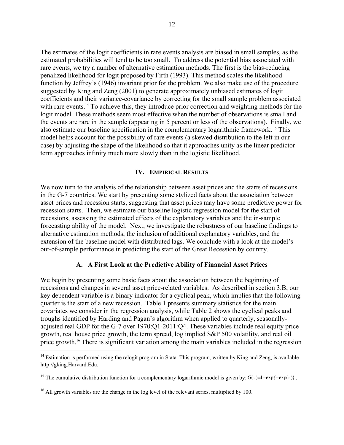The estimates of the logit coefficients in rare events analysis are biased in small samples, as the estimated probabilities will tend to be too small. To address the potential bias associated with rare events, we try a number of alternative estimation methods. The first is the bias-reducing penalized likelihood for logit proposed by Firth (1993). This method scales the likelihood function by Jeffrey's (1946) invariant prior for the problem. We also make use of the procedure suggested by King and Zeng (2001) to generate approximately unbiased estimates of logit coefficients and their variance-covariance by correcting for the small sample problem associated with rare events.<sup>14</sup> To achieve this, they introduce prior correction and weighting methods for the logit model. These methods seem most effective when the number of observations is small and the events are rare in the sample (appearing in 5 percent or less of the observations). Finally, we also estimate our baseline specification in the complementary logarithmic framework. 15 This model helps account for the possibility of rare events (a skewed distribution to the left in our case) by adjusting the shape of the likelihood so that it approaches unity as the linear predictor term approaches infinity much more slowly than in the logistic likelihood.

#### **IV. EMPIRICAL RESULTS**

We now turn to the analysis of the relationship between asset prices and the starts of recessions in the G-7 countries. We start by presenting some stylized facts about the association between asset prices and recession starts, suggesting that asset prices may have some predictive power for recession starts. Then, we estimate our baseline logistic regression model for the start of recessions, assessing the estimated effects of the explanatory variables and the in-sample forecasting ability of the model. Next, we investigate the robustness of our baseline findings to alternative estimation methods, the inclusion of additional explanatory variables, and the extension of the baseline model with distributed lags. We conclude with a look at the model's out-of-sample performance in predicting the start of the Great Recession by country.

#### **A. A First Look at the Predictive Ability of Financial Asset Prices**

We begin by presenting some basic facts about the association between the beginning of recessions and changes in several asset price-related variables. As described in section 3.B, our key dependent variable is a binary indicator for a cyclical peak, which implies that the following quarter is the start of a new recession. Table 1 presents summary statistics for the main covariates we consider in the regression analysis, while Table 2 shows the cyclical peaks and troughs identified by Harding and Pagan's algorithm when applied to quarterly, seasonallyadjusted real GDP for the G-7 over 1970:Q1-2011:Q4. These variables include real equity price growth, real house price growth, the term spread, log implied S&P 500 volatility, and real oil price growth.<sup>16</sup> There is significant variation among the main variables included in the regression

1

 $14$  Estimation is performed using the relogit program in Stata. This program, written by King and Zeng, is available http://gking.Harvard.Edu.

<sup>&</sup>lt;sup>15</sup> The cumulative distribution function for a complementary logarithmic model is given by:  $G(z)=1-\exp\{-\exp(z)\}$ .

<sup>&</sup>lt;sup>16</sup> All growth variables are the change in the log level of the relevant series, multiplied by 100.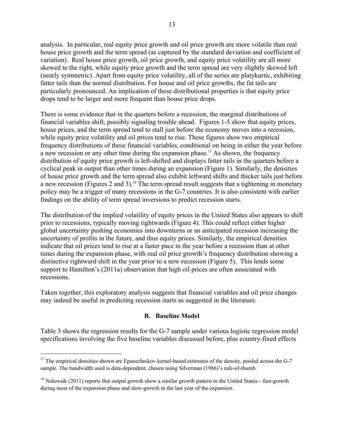analysis. In particular, real equity price growth and oil price growth are more volatile than real house price growth and the term spread (as captured by the standard deviation and coefficient of variation). Real house price growth, oil price growth, and equity price volatility are all more skewed to the right, while equity price growth and the term spread are very slightly skewed left (nearly symmetric). Apart from equity price volatility, all of the series are platykurtic, exhibiting fatter tails than the normal distribution. For house and oil price growths, the fat tails are particularly pronounced. An implication of these distributional properties is that equity price drops tend to be larger and more frequent than house price drops.

There is some evidence that in the quarters before a recession, the marginal distributions of financial variables shift, possibly signaling trouble ahead. Figures 1-5 show that equity prices, house prices, and the term spread tend to stall just before the economy moves into a recession, while equity price volatility and oil prices tend to rise. These figures show two empirical frequency distributions of these financial variables, conditional on being in either the year before a new recession or any other time during the expansion phase.<sup>17</sup> As shown, the frequency distribution of equity price growth is left-shifted and displays fatter tails in the quarters before a cyclical peak in output than other times during an expansion (Figure 1). Similarly, the densities of house price growth and the term spread also exhibit leftward shifts and thicker tails just before a new recession (Figures 2 and 3).<sup>18</sup> The term spread result suggests that a tightening in monetary policy may be a trigger of many recessions in the G-7 countries. It is also consistent with earlier findings on the ability of term spread inversions to predict recession starts.

The distribution of the implied volatility of equity prices in the United States also appears to shift prior to recessions, typically moving rightwards (Figure 4). This could reflect either higher global uncertainty pushing economies into downturns or an anticipated recession increasing the uncertainty of profits in the future, and thus equity prices. Similarly, the empirical densities indicate that oil prices tend to rise at a faster pace in the year before a recession than at other times during the expansion phase, with real oil price growth's frequency distribution showing a distinctive rightward shift in the year prior to a new recession (Figure 5). This lends some support to Hamilton's (2011a) observation that high oil prices are often associated with recessions.

Taken together, this exploratory analysis suggests that financial variables and oil price changes may indeed be useful in predicting recession starts as suggested in the literature.

#### **B. Baseline Model**

Table 3 shows the regression results for the G-7 sample under various logistic regression model specifications involving the five baseline variables discussed before, plus country-fixed effects

 $17$  The empirical densities shown are Epanechnikov kernel-based estimates of the density, pooled across the G-7 sample. The bandwidth used is data-dependent, chosen using Silverman (1986)'s rule-of-thumb.

<sup>&</sup>lt;sup>18</sup> Nalewaik (2011) reports that output growth show a similar growth pattern in the United States—fast-growth during most of the expansion phase and slow-growth in the last year of the expansion.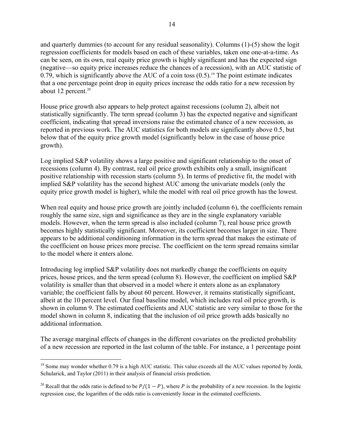and quarterly dummies (to account for any residual seasonality). Columns (1)-(5) show the logit regression coefficients for models based on each of these variables, taken one one-at-a-time. As can be seen, on its own, real equity price growth is highly significant and has the expected sign (negative—so equity price increases reduce the chances of a recession), with an AUC statistic of 0.79, which is significantly above the AUC of a coin toss  $(0.5)$ .<sup>19</sup> The point estimate indicates that a one percentage point drop in equity prices increase the odds ratio for a new recession by about 12 percent. $20$ 

House price growth also appears to help protect against recessions (column 2), albeit not statistically significantly. The term spread (column 3) has the expected negative and significant coefficient, indicating that spread inversions raise the estimated chance of a new recession, as reported in previous work. The AUC statistics for both models are significantly above 0.5, but below that of the equity price growth model (significantly below in the case of house price growth).

Log implied S&P volatility shows a large positive and significant relationship to the onset of recessions (column 4). By contrast, real oil price growth exhibits only a small, insignificant positive relationship with recession starts (column 5). In terms of predictive fit, the model with implied S&P volatility has the second highest AUC among the univariate models (only the equity price growth model is higher), while the model with real oil price growth has the lowest.

When real equity and house price growth are jointly included (column 6), the coefficients remain roughly the same size, sign and significance as they are in the single explanatory variable models. However, when the term spread is also included (column 7), real house price growth becomes highly statistically significant. Moreover, its coefficient becomes larger in size. There appears to be additional conditioning information in the term spread that makes the estimate of the coefficient on house prices more precise. The coefficient on the term spread remains similar to the model where it enters alone.

Introducing log implied S&P volatility does not markedly change the coefficients on equity prices, house prices, and the term spread (column 8). However, the coefficient on implied S&P volatility is smaller than that observed in a model where it enters alone as an explanatory variable; the coefficient falls by about 60 percent. However, it remains statistically significant, albeit at the 10 percent level. Our final baseline model, which includes real oil price growth, is shown in column 9. The estimated coefficients and AUC statistic are very similar to those for the model shown in column 8, indicating that the inclusion of oil price growth adds basically no additional information.

The average marginal effects of changes in the different covariates on the predicted probability of a new recession are reported in the last column of the table. For instance, a 1 percentage point

<sup>&</sup>lt;sup>19</sup> Some may wonder whether 0.79 is a high AUC statistic. This value exceeds all the AUC values reported by Jordà, Schularick, and Taylor (2011) in their analysis of financial crisis prediction.

<sup>&</sup>lt;sup>20</sup> Recall that the odds ratio is defined to be  $P/(1 - P)$ , where P is the probability of a new recession. In the logistic regression case, the logarithm of the odds ratio is conveniently linear in the estimated coefficients.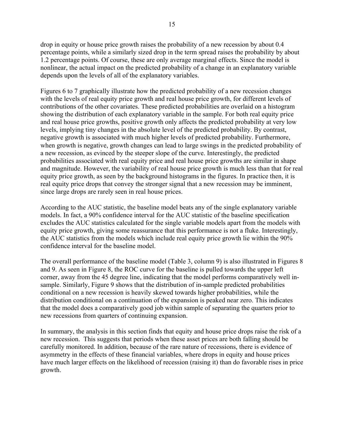drop in equity or house price growth raises the probability of a new recession by about 0.4 percentage points, while a similarly sized drop in the term spread raises the probability by about 1.2 percentage points. Of course, these are only average marginal effects. Since the model is nonlinear, the actual impact on the predicted probability of a change in an explanatory variable depends upon the levels of all of the explanatory variables.

Figures 6 to 7 graphically illustrate how the predicted probability of a new recession changes with the levels of real equity price growth and real house price growth, for different levels of contributions of the other covariates. These predicted probabilities are overlaid on a histogram showing the distribution of each explanatory variable in the sample. For both real equity price and real house price growths, positive growth only affects the predicted probability at very low levels, implying tiny changes in the absolute level of the predicted probability. By contrast, negative growth is associated with much higher levels of predicted probability. Furthermore, when growth is negative, growth changes can lead to large swings in the predicted probability of a new recession, as evinced by the steeper slope of the curve. Interestingly, the predicted probabilities associated with real equity price and real house price growths are similar in shape and magnitude. However, the variability of real house price growth is much less than that for real equity price growth, as seen by the background histograms in the figures. In practice then, it is real equity price drops that convey the stronger signal that a new recession may be imminent, since large drops are rarely seen in real house prices.

According to the AUC statistic, the baseline model beats any of the single explanatory variable models. In fact, a 90% confidence interval for the AUC statistic of the baseline specification excludes the AUC statistics calculated for the single variable models apart from the models with equity price growth, giving some reassurance that this performance is not a fluke. Interestingly, the AUC statistics from the models which include real equity price growth lie within the 90% confidence interval for the baseline model.

The overall performance of the baseline model (Table 3, column 9) is also illustrated in Figures 8 and 9. As seen in Figure 8, the ROC curve for the baseline is pulled towards the upper left corner, away from the 45 degree line, indicating that the model performs comparatively well insample. Similarly, Figure 9 shows that the distribution of in-sample predicted probabilities conditional on a new recession is heavily skewed towards higher probabilities, while the distribution conditional on a continuation of the expansion is peaked near zero. This indicates that the model does a comparatively good job within sample of separating the quarters prior to new recessions from quarters of continuing expansion.

In summary, the analysis in this section finds that equity and house price drops raise the risk of a new recession. This suggests that periods when these asset prices are both falling should be carefully monitored. In addition, because of the rare nature of recessions, there is evidence of asymmetry in the effects of these financial variables, where drops in equity and house prices have much larger effects on the likelihood of recession (raising it) than do favorable rises in price growth.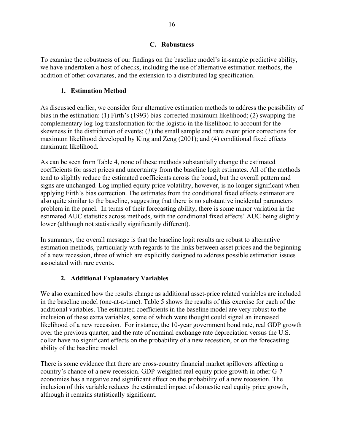## **C. Robustness**

To examine the robustness of our findings on the baseline model's in-sample predictive ability, we have undertaken a host of checks, including the use of alternative estimation methods, the addition of other covariates, and the extension to a distributed lag specification.

# **1. Estimation Method**

As discussed earlier, we consider four alternative estimation methods to address the possibility of bias in the estimation: (1) Firth's (1993) bias-corrected maximum likelihood; (2) swapping the complementary log-log transformation for the logistic in the likelihood to account for the skewness in the distribution of events; (3) the small sample and rare event prior corrections for maximum likelihood developed by King and Zeng (2001); and (4) conditional fixed effects maximum likelihood.

As can be seen from Table 4, none of these methods substantially change the estimated coefficients for asset prices and uncertainty from the baseline logit estimates. All of the methods tend to slightly reduce the estimated coefficients across the board, but the overall pattern and signs are unchanged. Log implied equity price volatility, however, is no longer significant when applying Firth's bias correction. The estimates from the conditional fixed effects estimator are also quite similar to the baseline, suggesting that there is no substantive incidental parameters problem in the panel. In terms of their forecasting ability, there is some minor variation in the estimated AUC statistics across methods, with the conditional fixed effects' AUC being slightly lower (although not statistically significantly different).

In summary, the overall message is that the baseline logit results are robust to alternative estimation methods, particularly with regards to the links between asset prices and the beginning of a new recession, three of which are explicitly designed to address possible estimation issues associated with rare events.

# **2. Additional Explanatory Variables**

We also examined how the results change as additional asset-price related variables are included in the baseline model (one-at-a-time). Table 5 shows the results of this exercise for each of the additional variables. The estimated coefficients in the baseline model are very robust to the inclusion of these extra variables, some of which were thought could signal an increased likelihood of a new recession. For instance, the 10-year government bond rate, real GDP growth over the previous quarter, and the rate of nominal exchange rate depreciation versus the U.S. dollar have no significant effects on the probability of a new recession, or on the forecasting ability of the baseline model.

There is some evidence that there are cross-country financial market spillovers affecting a country's chance of a new recession. GDP-weighted real equity price growth in other G-7 economies has a negative and significant effect on the probability of a new recession. The inclusion of this variable reduces the estimated impact of domestic real equity price growth, although it remains statistically significant.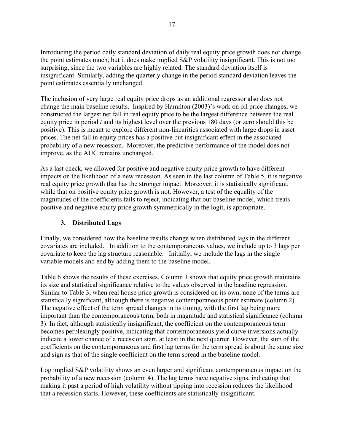Introducing the period daily standard deviation of daily real equity price growth does not change the point estimates much, but it does make implied S&P volatility insignificant. This is not too surprising, since the two variables are highly related. The standard deviation itself is insignificant. Similarly, adding the quarterly change in the period standard deviation leaves the point estimates essentially unchanged.

The inclusion of very large real equity price drops as an additional regressor also does not change the main baseline results. Inspired by Hamilton (2003)'s work on oil price changes, we constructed the largest net fall in real equity price to be the largest difference between the real equity price in period *t* and its highest level over the previous 180 days (or zero should this be positive). This is meant to explore different non-linearities associated with large drops in asset prices. The net fall in equity prices has a positive but insignificant effect in the associated probability of a new recession. Moreover, the predictive performance of the model does not improve, as the AUC remains unchanged.

As a last check, we allowed for positive and negative equity price growth to have different impacts on the likelihood of a new recession. As seen in the last column of Table 5, it is negative real equity price growth that has the stronger impact. Moreover, it is statistically significant, while that on positive equity price growth is not. However, a test of the equality of the magnitudes of the coefficients fails to reject, indicating that our baseline model, which treats positive and negative equity price growth symmetrically in the logit, is appropriate.

## **3. Distributed Lags**

Finally, we considered how the baseline results change when distributed lags in the different covariates are included. In addition to the contemporaneous values, we include up to 3 lags per covariate to keep the lag structure reasonable. Initially, we include the lags in the single variable models and end by adding them to the baseline model.

Table 6 shows the results of these exercises. Column 1 shows that equity price growth maintains its size and statistical significance relative to the values observed in the baseline regression. Similar to Table 3, when real house price growth is considered on its own, none of the terms are statistically significant, although there is negative contemporaneous point estimate (column 2). The negative effect of the term spread changes in its timing, with the first lag being more important than the contemporaneous term, both in magnitude and statistical significance (column 3). In fact, although statistically insignificant, the coefficient on the contemporaneous term becomes perplexingly positive, indicating that contemporaneous yield curve inversions actually indicate a lower chance of a recession start, at least in the next quarter. However, the sum of the coefficients on the contemporaneous and first lag terms for the term spread is about the same size and sign as that of the single coefficient on the term spread in the baseline model.

Log implied S&P volatility shows an even larger and significant contemporaneous impact on the probability of a new recession (column 4). The lag terms have negative signs, indicating that making it past a period of high volatility without tipping into recession reduces the likelihood that a recession starts. However, these coefficients are statistically insignificant.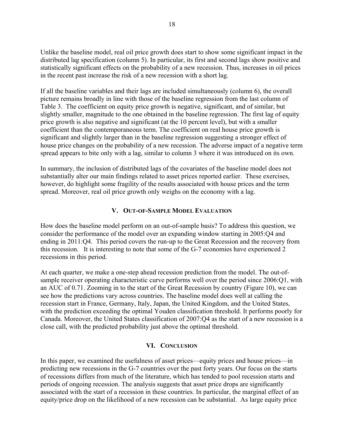Unlike the baseline model, real oil price growth does start to show some significant impact in the distributed lag specification (column 5). In particular, its first and second lags show positive and statistically significant effects on the probability of a new recession. Thus, increases in oil prices in the recent past increase the risk of a new recession with a short lag.

If all the baseline variables and their lags are included simultaneously (column 6), the overall picture remains broadly in line with those of the baseline regression from the last column of Table 3. The coefficient on equity price growth is negative, significant, and of similar, but slightly smaller, magnitude to the one obtained in the baseline regression. The first lag of equity price growth is also negative and significant (at the 10 percent level), but with a smaller coefficient than the contemporaneous term. The coefficient on real house price growth is significant and slightly larger than in the baseline regression suggesting a stronger effect of house price changes on the probability of a new recession. The adverse impact of a negative term spread appears to bite only with a lag, similar to column 3 where it was introduced on its own.

In summary, the inclusion of distributed lags of the covariates of the baseline model does not substantially alter our main findings related to asset prices reported earlier. These exercises, however, do highlight some fragility of the results associated with house prices and the term spread. Moreover, real oil price growth only weighs on the economy with a lag.

#### **V. OUT-OF-SAMPLE MODEL EVALUATION**

How does the baseline model perform on an out-of-sample basis? To address this question, we consider the performance of the model over an expanding window starting in 2005:Q4 and ending in 2011:Q4. This period covers the run-up to the Great Recession and the recovery from this recession. It is interesting to note that some of the G-7 economies have experienced 2 recessions in this period.

At each quarter, we make a one-step ahead recession prediction from the model. The out-ofsample receiver operating characteristic curve performs well over the period since 2006:Q1, with an AUC of 0.71. Zooming in to the start of the Great Recession by country (Figure 10), we can see how the predictions vary across countries. The baseline model does well at calling the recession start in France, Germany, Italy, Japan, the United Kingdom, and the United States, with the prediction exceeding the optimal Youden classification threshold. It performs poorly for Canada. Moreover, the United States classification of 2007:Q4 as the start of a new recession is a close call, with the predicted probability just above the optimal threshold.

#### **VI. CONCLUSION**

In this paper, we examined the usefulness of asset prices—equity prices and house prices—in predicting new recessions in the G-7 countries over the past forty years. Our focus on the starts of recessions differs from much of the literature, which has tended to pool recession starts and periods of ongoing recession. The analysis suggests that asset price drops are significantly associated with the start of a recession in these countries. In particular, the marginal effect of an equity/price drop on the likelihood of a new recession can be substantial. As large equity price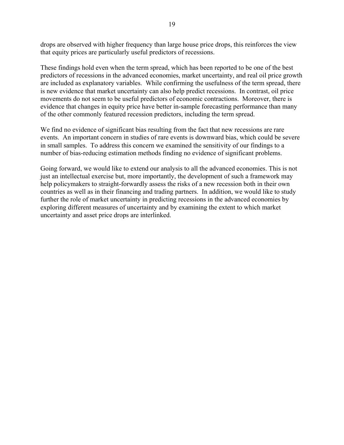drops are observed with higher frequency than large house price drops, this reinforces the view that equity prices are particularly useful predictors of recessions.

These findings hold even when the term spread, which has been reported to be one of the best predictors of recessions in the advanced economies, market uncertainty, and real oil price growth are included as explanatory variables. While confirming the usefulness of the term spread, there is new evidence that market uncertainty can also help predict recessions. In contrast, oil price movements do not seem to be useful predictors of economic contractions. Moreover, there is evidence that changes in equity price have better in-sample forecasting performance than many of the other commonly featured recession predictors, including the term spread.

We find no evidence of significant bias resulting from the fact that new recessions are rare events. An important concern in studies of rare events is downward bias, which could be severe in small samples. To address this concern we examined the sensitivity of our findings to a number of bias-reducing estimation methods finding no evidence of significant problems.

Going forward, we would like to extend our analysis to all the advanced economies. This is not just an intellectual exercise but, more importantly, the development of such a framework may help policymakers to straight-forwardly assess the risks of a new recession both in their own countries as well as in their financing and trading partners. In addition, we would like to study further the role of market uncertainty in predicting recessions in the advanced economies by exploring different measures of uncertainty and by examining the extent to which market uncertainty and asset price drops are interlinked.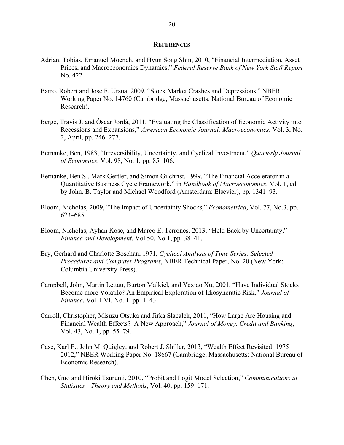#### **REFERENCES**

- Adrian, Tobias, Emanuel Moench, and Hyun Song Shin, 2010, "Financial Intermediation, Asset Prices, and Macroeconomics Dynamics," *Federal Reserve Bank of New York Staff Report* No. 422.
- Barro, Robert and Jose F. Ursua, 2009, "Stock Market Crashes and Depressions," NBER Working Paper No. 14760 (Cambridge, Massachusetts: National Bureau of Economic Research).
- Berge, Travis J. and Òscar Jordà, 2011, "Evaluating the Classification of Economic Activity into Recessions and Expansions," *American Economic Journal: Macroeconomics*, Vol. 3, No. 2, April, pp. 246–277.
- Bernanke, Ben, 1983, "Irreversibility, Uncertainty, and Cyclical Investment," *Quarterly Journal of Economics*, Vol. 98, No. 1, pp. 85–106.
- Bernanke, Ben S., Mark Gertler, and Simon Gilchrist, 1999, "The Financial Accelerator in a Quantitative Business Cycle Framework," in *Handbook of Macroeconomics*, Vol. 1, ed. by John. B. Taylor and Michael Woodford (Amsterdam: Elsevier), pp. 1341–93.
- Bloom, Nicholas, 2009, "The Impact of Uncertainty Shocks," *Econometrica*, Vol. 77, No.3, pp. 623–685.
- Bloom, Nicholas, Ayhan Kose, and Marco E. Terrones, 2013, "Held Back by Uncertainty," *Finance and Development*, Vol.50, No.1, pp. 38–41.
- Bry, Gerhard and Charlotte Boschan, 1971, *Cyclical Analysis of Time Series: Selected Procedures and Computer Programs*, NBER Technical Paper, No. 20 (New York: Columbia University Press).
- Campbell, John, Martin Lettau, Burton Malkiel, and Yexiao Xu, 2001, "Have Individual Stocks Become more Volatile? An Empirical Exploration of Idiosyncratic Risk," *Journal of Finance*, Vol. LVI, No. 1, pp. 1–43.
- Carroll, Christopher, Misuzu Otsuka and Jirka Slacalek, 2011, "How Large Are Housing and Financial Wealth Effects? A New Approach," *Journal of Money, Credit and Banking*, Vol. 43, No. 1, pp. 55–79.
- Case, Karl E., John M. Quigley, and Robert J. Shiller, 2013, "Wealth Effect Revisited: 1975– 2012," NBER Working Paper No. 18667 (Cambridge, Massachusetts: National Bureau of Economic Research).
- Chen, Guo and Hiroki Tsurumi, 2010, "Probit and Logit Model Selection," *Communications in Statistics—Theory and Methods*, Vol. 40, pp. 159–171.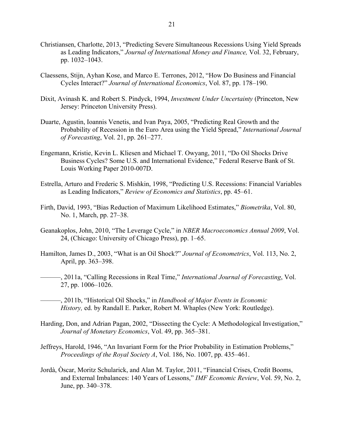- Christiansen, Charlotte, 2013, "Predicting Severe Simultaneous Recessions Using Yield Spreads as Leading Indicators," *Journal of International Money and Finance,* Vol. 32, February, pp. 1032–1043.
- Claessens, Stijn, Ayhan Kose, and Marco E. Terrones, 2012, "How Do Business and Financial Cycles Interact?" *Journal of International Economics*, Vol. 87, pp. 178–190.
- Dixit, Avinash K. and Robert S. Pindyck, 1994, *Investment Under Uncertainty* (Princeton, New Jersey: Princeton University Press).
- Duarte, Agustin, Ioannis Venetis, and Ivan Paya, 2005, "Predicting Real Growth and the Probability of Recession in the Euro Area using the Yield Spread," *International Journal of Forecasting*, Vol. 21, pp. 261–277.
- Engemann, Kristie, Kevin L. Kliesen and Michael T. Owyang, 2011, "Do Oil Shocks Drive Business Cycles? Some U.S. and International Evidence," Federal Reserve Bank of St. Louis Working Paper 2010-007D.
- Estrella, Arturo and Frederic S. Mishkin, 1998, "Predicting U.S. Recessions: Financial Variables as Leading Indicators," *Review of Economics and Statistics*, pp. 45–61.
- Firth, David, 1993, "Bias Reduction of Maximum Likelihood Estimates," *Biometrika*, Vol. 80, No. 1, March, pp. 27–38.
- Geanakoplos, John, 2010, "The Leverage Cycle," in *NBER Macroeconomics Annual 2009*, Vol. 24, (Chicago: University of Chicago Press), pp. 1–65.
- Hamilton, James D., 2003, "What is an Oil Shock?" *Journal of Econometrics*, Vol. 113, No. 2, April, pp. 363–398.
- ———, 2011a, "Calling Recessions in Real Time," *International Journal of Forecasting*, Vol. 27, pp. 1006–1026.
- ———, 2011b, "Historical Oil Shocks," in *Handbook of Major Events in Economic History,* ed. by Randall E. Parker, Robert M. Whaples (New York: Routledge).
- Harding, Don, and Adrian Pagan, 2002, "Dissecting the Cycle: A Methodological Investigation," *Journal of Monetary Economics*, Vol. 49, pp. 365–381.
- Jeffreys, Harold, 1946, "An Invariant Form for the Prior Probability in Estimation Problems," *Proceedings of the Royal Society A*, Vol. 186, No. 1007, pp. 435–461.
- Jordà, Òscar, Moritz Schularick, and Alan M. Taylor, 2011, "Financial Crises, Credit Booms, and External Imbalances: 140 Years of Lessons," *IMF Economic Review*, Vol. 59, No. 2, June, pp. 340–378.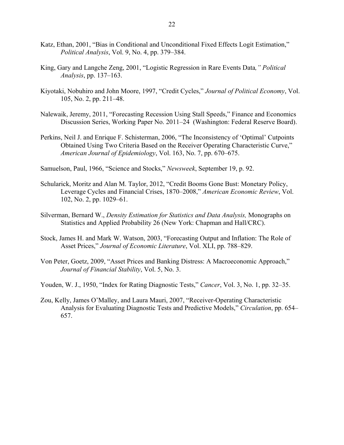- Katz, Ethan, 2001, "Bias in Conditional and Unconditional Fixed Effects Logit Estimation," *Political Analysis*, Vol. 9, No. 4, pp. 379–384.
- King, Gary and Langche Zeng, 2001, "Logistic Regression in Rare Events Data*," Political Analysis*, pp. 137–163.
- Kiyotaki, Nobuhiro and John Moore, 1997, "Credit Cycles," *Journal of Political Economy*, Vol. 105, No. 2, pp. 211–48.
- Nalewaik, Jeremy, 2011, "Forecasting Recession Using Stall Speeds," Finance and Economics Discussion Series, Working Paper No. 2011–24 (Washington: Federal Reserve Board).
- Perkins, Neil J. and Enrique F. Schisterman, 2006, "The Inconsistency of 'Optimal' Cutpoints Obtained Using Two Criteria Based on the Receiver Operating Characteristic Curve," *American Journal of Epidemiology*, Vol. 163, No. 7, pp. 670–675.
- Samuelson, Paul, 1966, "Science and Stocks," *Newsweek*, September 19, p. 92.
- Schularick, Moritz and Alan M. Taylor, 2012, "Credit Booms Gone Bust: Monetary Policy, Leverage Cycles and Financial Crises, 1870–2008," *American Economic Review*, Vol. 102, No. 2, pp. 1029–61.
- Silverman, Bernard W., *Density Estimation for Statistics and Data Analysis,* Monographs on Statistics and Applied Probability 26 (New York: Chapman and Hall/CRC).
- Stock, James H. and Mark W. Watson, 2003, "Forecasting Output and Inflation: The Role of Asset Prices," *Journal of Economic Literature*, Vol. XLI, pp. 788–829.
- Von Peter, Goetz, 2009, "Asset Prices and Banking Distress: A Macroeconomic Approach," *Journal of Financial Stability*, Vol. 5, No. 3.
- Youden, W. J., 1950, "Index for Rating Diagnostic Tests," *Cancer*, Vol. 3, No. 1, pp. 32–35.
- Zou, Kelly, James O'Malley, and Laura Mauri, 2007, "Receiver-Operating Characteristic Analysis for Evaluating Diagnostic Tests and Predictive Models," *Circulation*, pp. 654– 657.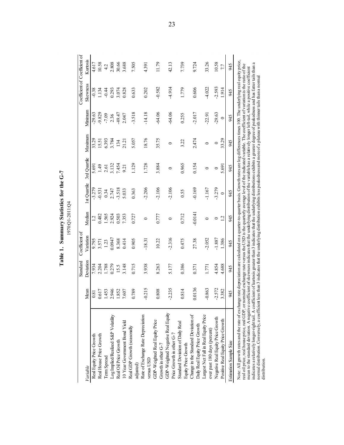| ں<br>پہ        |                            |
|----------------|----------------------------|
|                |                            |
| nr1<br>Τ       |                            |
| tistic<br>itat | ب 1 1 م<br>م<br>נו ע.<br>٠ |
| Amaru<br>N     | 970:01                     |
|                |                            |
|                |                            |

|                                                                                      |                   | Standard       | Coefficient of    |                  |                     |                  |                  |                     | Coefficient of Coefficient of |              |
|--------------------------------------------------------------------------------------|-------------------|----------------|-------------------|------------------|---------------------|------------------|------------------|---------------------|-------------------------------|--------------|
| Variable                                                                             | Mean              | Deviation      | Variation         | Median           | 1st Quartile        | 3rd Quartile     | Maximum          | Minimum             | Skewness                      | Kurtosis     |
| Real Equity Price Growth                                                             | 0.81              | 7.934          | 9.795             | 1.2              | $-3.279$            | 5.691            | 33.29            | $-29.63$            | $-0.38$                       | 4.617        |
| Real House Price Growth                                                              | 0.617             | 2.204          | 3.571             | 0.482            | $-0.531$            | 1.49             | 15.51            | 9.829               | 1.134                         | 10.58        |
| Term Spread                                                                          | 1.453             | 1.788          | 1.23              | 1.565            | 0.34                | 2.61             | 6.393            | $-7.09$             | $-0.44$                       | 4.2          |
| Log Implied/Realized S&P Volatility                                                  | 2.946             | 0.279          | 0.0947            | 2.924            | 2.747               | 3.132            | 3.784            | 2.36                | 0.293                         | 2.808        |
| Real Oil Price Growth                                                                | 1.852             | 15.5           | 8.368             | 0.503            | $-3.518$            | 7.454            | 134              | -49.47              | 3.074                         | 30.66        |
| 10 Year Government Bond Yield                                                        | 7.607             | 3.148          | 0.414             | 7.353            | 5.033               | 9.21             | 21.21            | 2.047               | 0.828                         | 3.688        |
| Real GDP Growth (seasonally<br>adjusted)                                             | 0.789             | 0.715          | 0.905             | 0.727            | 0.363               | 1.129            | 5.057            | $-3.518$            | 0.633                         | 7.505        |
| Rate of Exchange Rate Depreciation<br>versus USD                                     | $-0.215$          | 3.938          | $-18.31$          | $\circ$          | $-2.206$            | 1.728            | 18.76            | $-14.18$            | 0.202                         | 4.391        |
| GDP-Weighted Real Equity Price<br>Growth in other G-7                                | 0.808             | 8.263          | 10.22             | 0.777            | $-2.106$            | 3.884            | 35.75            | $-64.06$            | $-0.582$                      | 11.79        |
| GDP-Weighted Negative Real Equity                                                    | $-2.235$          | 5.177          | $-2.316$          | $\circ$          | $-2.106$            | $\circ$          | $\circ$          | $-64.06$            | $-4.914$                      | 42.13        |
| Standard Deviation of Daily Real<br>Price Growth in other G-7<br>Equity Price Growth | 0.814             | 0.386          | 0.475             | 0.712            | 0.55                | 0.965            | 3.22             | 0.255               | 1.779                         | 7.739        |
| Change in the Standard Deviation of<br>Daily Real Equity Price Growth                | 0.0136            | 0.371          | 27.38             | $-0.0141$        | $-0.169$            | 0.154            | 2.474            | $-2.017$            | 0.606                         | 9.724        |
| Largest Net Fall in Real Equity Price<br>over past 180 days (percent)                | $-0.863$          | 1.771          | $-2.052$          | $\circ$          | $-1.167$            | $\circ$          | $\circ$          | $-22.91$            | $-4.022$                      | 33.26        |
| Negative Real Equity Price Growth<br>Positive Real Equity Price Growth               | $-2.572$<br>3.382 | 4.854<br>4.688 | $-1.887$<br>1.386 | 1.2<br>$\bullet$ | $-3.279$<br>$\circ$ | 5.691<br>$\circ$ | 33.29<br>$\circ$ | $-29.63$<br>$\circ$ | $-2.593$<br>1.914             | 10.58<br>7.7 |
| Estimation Sample Size                                                               | 945               | 945            | 945               | 945              | 945                 | 945              | 945              | 945                 | 945                           | 945          |

real oil price, real house price, real GDP, or nominal exchange rate versus the USD is the quarterly average level of the indicated variable. The coefficient of variation is the ratio of the mean to the standard deviation. indicates a relatively longer-right tail. A coefficient of kurtosis greater than 3 indicates that the underlying distributions exhibits a greater degree of peakedness and has fatter tails than a mean to the standard deviation. A negative coefficient of skewness indicates that the underlying distribution of the variable has a relatively longer left-tail, while a positive coefficient normal distribution. Conversely, a coefficient less than 3 indicates that the underlying distribution exhibits less peakedness and more of a plateau with thinner tails than a normal distribution.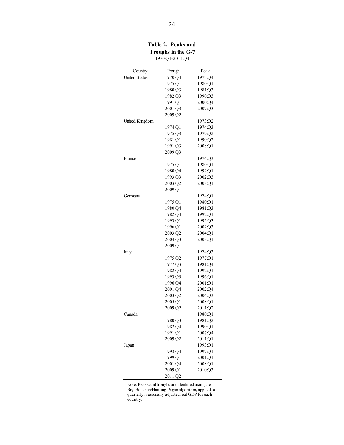**Table 2. Peaks and Troughs in the G-7** 1970:Q1-2011:Q4

| Country              | Trough             | Peak               |
|----------------------|--------------------|--------------------|
| <b>United States</b> | 1970:04            | 1973:Q4            |
|                      | 1975:01            | 1980:Q1            |
|                      | 1980:Q3            | 1981:Q3            |
|                      | 1982:Q3            | 1990:Q3            |
|                      | 1991:Q1            | 2000:Q4            |
|                      | 2001:Q3            | 2007:Q3            |
|                      | 2009:Q2            |                    |
| United Kingdom       |                    | 1973:Q2            |
|                      | 1974:O1            | 1974:03            |
|                      | 1975:Q3            | 1979:Q2            |
|                      | 1981:O1            | 1990:Q2            |
|                      | 1991:Q3            | 2008:Q1            |
|                      | 2009:Q3            |                    |
| France               |                    | 1974:Q3            |
|                      | 1975:Q1            | 1980:Q1            |
|                      | 1980:Q4            | 1992:Q1            |
|                      | 1993:Q3            | 2002:Q3            |
|                      | 2003:Q2            | 2008:Q1            |
|                      | 2009:Q1            |                    |
| Germany              |                    | 1974:O1            |
|                      | 1975:Q1            | 1980:Q1            |
|                      | 1980:Q4            | 1981:Q3            |
|                      | 1982:Q4            | 1992:Q1            |
|                      | 1993:Q1            | 1995:03            |
|                      | 1996:O1            | 2002:Q3            |
|                      | 2003:Q2            | 2004:Q1            |
|                      | 2004:Q3            | 2008:Q1            |
|                      | 2009:Q1            |                    |
| Italy                |                    | 1974:Q3            |
|                      | 1975:Q2            | 1977:Q1            |
|                      | 1977:Q3            | 1981:Q4            |
|                      | 1982:Q4            | 1992:Q1            |
|                      | 1993:Q3            | 1996:Q1            |
|                      | 1996:Q4<br>2001:04 | 2001:Q1<br>2002:04 |
|                      | 2003:Q2            | 2004:O3            |
|                      | 2005:Q1            | 2008:Q1            |
|                      | 2009:Q2            | 2011:Q2            |
| Canada               |                    | 1980:Q1            |
|                      | 1980:Q3            | 1981:Q2            |
|                      | 1982:Q4            | 1990:Q1            |
|                      | 1991:Q1            | 2007:Q4            |
|                      | 2009:Q2            | 2011:Q1            |
| Japan                |                    | 1993:Q1            |
|                      | 1993:Q4            | 1997:Q1            |
|                      | 1999:Q1            | 2001:Q1            |
|                      | 2001:Q4            | 2008:Q1            |
|                      | 2009:Q1            | 2010:Q3            |
|                      | 2011:Q2            |                    |

Note: Peaks and troughs are identified using the Bry-Boschan/Harding-Pagan algorithm, applied to quarterly, seasonally-adjusted real GDP for each country.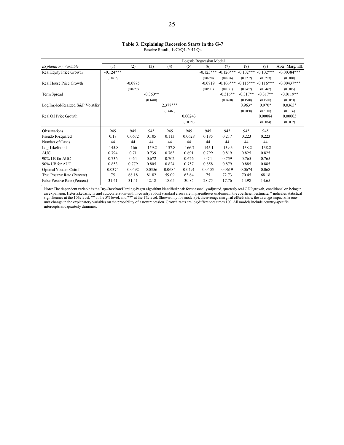|                                     |             |           |            |            |          | Logistic Regression Model |             |             |             |                  |
|-------------------------------------|-------------|-----------|------------|------------|----------|---------------------------|-------------|-------------|-------------|------------------|
| Explanatory Variable                | (1)         | (2)       | (3)        | (4)        | (5)      | (6)                       | (7)         | (8)         | (9)         | Aver. Marg. Eff. |
| Real Equity Price Growth            | $-0.124***$ |           |            |            |          | $-0.125***$               | $-0.120***$ | $-0.102***$ | $-0.102***$ | $-0.00384***$    |
|                                     | (0.0216)    |           |            |            |          | (0.0220)                  | (0.0256)    | (0.0282)    | (0.0293)    | (0.0010)         |
| Real House Price Growth             |             | $-0.0875$ |            |            |          | $-0.0819$                 | $-0.106***$ | $-0.115***$ | $-0.116***$ | $-0.00437***$    |
|                                     |             | (0.0727)  |            |            |          | (0.0513)                  | (0.0391)    | (0.0437)    | (0.0442)    | (0.0015)         |
| Term Spread                         |             |           | $-0.360**$ |            |          |                           | $-0.316**$  | $-0.317**$  | $-0.317**$  | $-0.0119**$      |
|                                     |             |           | (0.1440)   |            |          |                           | (0.1450)    | (0.1510)    | (0.1500)    | (0.0053)         |
| Log Implied/Realized S&P Volatility |             |           |            | $2.377***$ |          |                           |             | $0.963*$    | $0.970*$    | $0.0365*$        |
|                                     |             |           |            | (0.4460)   |          |                           |             | (0.5030)    | (0.5110)    | (0.0186)         |
| Real Oil Price Growth               |             |           |            |            | 0.00243  |                           |             |             | 0.00084     | 0.00003          |
|                                     |             |           |            |            | (0.0070) |                           |             |             | (0.0064)    | (0.0002)         |
| Observations                        | 945         | 945       | 945        | 945        | 945      | 945                       | 945         | 945         | 945         |                  |
| Pseudo R-squared                    | 0.18        | 0.0672    | 0.105      | 0.113      | 0.0628   | 0.185                     | 0.217       | 0.223       | 0.223       |                  |
| Number of Cases                     | 44          | 44        | 44         | 44         | 44       | 44                        | 44          | 44          | 44          |                  |
| Log-Likelihood                      | $-145.8$    | $-166$    | $-159.2$   | $-157.8$   | $-166.7$ | $-145.1$                  | $-139.3$    | $-138.2$    | $-138.2$    |                  |
| <b>AUC</b>                          | 0.794       | 0.71      | 0.739      | 0.763      | 0.691    | 0.799                     | 0.819       | 0.825       | 0.825       |                  |
| 90% LB for AUC                      | 0.736       | 0.64      | 0.672      | 0.702      | 0.626    | 0.74                      | 0.759       | 0.765       | 0.765       |                  |
| 90% UB for AUC                      | 0.853       | 0.779     | 0.805      | 0.824      | 0.757    | 0.858                     | 0.879       | 0.885       | 0.885       |                  |
| Optimal Youden Cutoff               | 0.0374      | 0.0492    | 0.0356     | 0.0684     | 0.0491   | 0.0405                    | 0.0619      | 0.0674      | 0.068       |                  |
| True Positive Rate (Percent)        | 75          | 68.18     | 81.82      | 59.09      | 63.64    | 75                        | 72.73       | 70.45       | 68.18       |                  |
| False Positive Rate (Percent)       | 31.41       | 31.41     | 42.18      | 18.65      | 30.85    | 28.75                     | 17.76       | 14.98       | 14.65       |                  |

Note: The dependent variable is the Bry-Boschan/Harding-Pagan algorithm identified peak for seasonally adjusted, quarterly real GDP growth, conditional on being in<br>sin expansion. Heteroskedasticity and autocorrelation-with intercepts and quarterly dummies.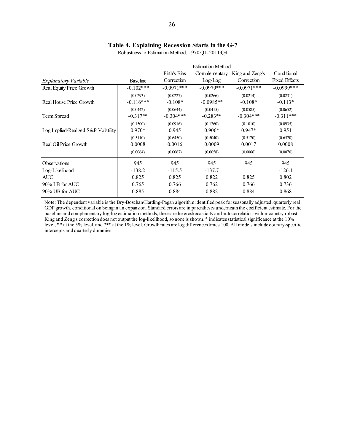#### **Table 4. Explaining Recession Starts in the G-7**

|                                     |                 |               | <b>Estimation Method</b> |                 |                      |
|-------------------------------------|-----------------|---------------|--------------------------|-----------------|----------------------|
|                                     |                 | Firth's Bias  | Complementary            | King and Zeng's | Conditional          |
| <i>Explanatory Variable</i>         | <b>Baseline</b> | Correction    | $Log-Log$                | Correction      | <b>Fixed Effects</b> |
| Real Equity Price Growth            | $-0.102***$     | $-0.0971$ *** | $-0.0979***$             | $-0.0971$ ***   | $-0.0999$ ***        |
|                                     | (0.0293)        | (0.0227)      | (0.0266)                 | (0.0214)        | (0.0231)             |
| Real House Price Growth             | $-0.116***$     | $-0.108*$     | $-0.0985**$              | $-0.108*$       | $-0.113*$            |
|                                     | (0.0442)        | (0.0644)      | (0.0415)                 | (0.0585)        | (0.0652)             |
| Term Spread                         | $-0.317**$      | $-0.304***$   | $-0.283**$               | $-0.304***$     | $-0.311***$          |
|                                     | (0.1500)        | (0.0916)      | (0.1260)                 | (0.1010)        | (0.0935)             |
| Log Implied/Realized S&P Volatility | $0.970*$        | 0.945         | $0.906*$                 | $0.947*$        | 0.951                |
|                                     | (0.5110)        | (0.6450)      | (0.5040)                 | (0.5170)        | (0.6570)             |
| Real Oil Price Growth               | 0.0008          | 0.0016        | 0.0009                   | 0.0017          | 0.0008               |
|                                     | (0.0064)        | (0.0067)      | (0.0058)                 | (0.0066)        | (0.0070)             |
| <b>Observations</b>                 | 945             | 945           | 945                      | 945             | 945                  |
| Log-Likelihood                      | $-138.2$        | $-115.5$      | $-137.7$                 |                 | $-126.1$             |
| <b>AUC</b>                          | 0.825           | 0.825         | 0.822                    | 0.825           | 0.802                |
| $90\%$ LB for AUC                   | 0.765           | 0.766         | 0.762                    | 0.766           | 0.736                |
| 90% UB for AUC                      | 0.885           | 0.884         | 0.882                    | 0.884           | 0.868                |

Robustness to Estimation Method, 1970:Q1-2011:Q4

Note: The dependent variable is the Bry-Boschan/Harding-Pagan algorithm identified peak for seasonally adjusted, quarterly real GDP growth, conditional on being in an expansion. Standard errors are in parentheses underneath the coefficient estimate. For the baseline and complementary log-log estimation methods, these are heteroskedasticity and autocorrelation-within-country robust. King and Zeng's correction does not output the log-likelihood, so none is shown. \* indicates statistical significance at the 10% level, \*\* at the 5% level, and \*\*\* at the 1% level. Growth rates are log differences times 100. All models include country-specific intercepts and quarterly dummies.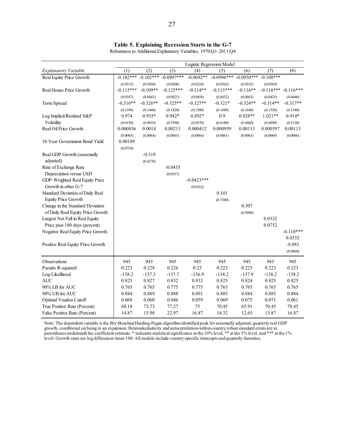|                                   |             |             |              | Logistic Regression Model |              |              |                       |             |
|-----------------------------------|-------------|-------------|--------------|---------------------------|--------------|--------------|-----------------------|-------------|
| <b>Explanatory Variable</b>       | (1)         | (2)         | (3)          | (4)                       | (5)          | (6)          | (7)                   | (8)         |
| Real Equity Price Growth          | $-0.102***$ | $-0.102***$ | $-0.0997***$ | $-0.0692**$               | $-0.0996***$ | $-0.0950***$ | $-0.108***$           |             |
|                                   | (0.0313)    | (0.0304)    | (0.0308)     | (0.0324)                  | (0.0342)     | (0.0352)     | (0.0369)              |             |
| Real House Price Growth           | $-0.115***$ | $-0.109**$  | $-0.125***$  | $-0.114**$                | $-0.115***$  | $-0.116**$   | $-0.116*** -0.116***$ |             |
|                                   | (0.0347)    | (0.0443)    | (0.0425)     | (0.0458)                  | (0.0432)     | (0.0463)     | (0.0435)              | (0.0446)    |
| Term Spread                       | $-0.316**$  | $-0.326**$  | $-0.325**$   | $-0.327**$                | $-0.321*$    | $-0.324**$   | $-0.314**$            | $-0.317**$  |
|                                   | (0.1390)    | (0.1460)    | (0.1420)     | (0.1500)                  | (0.1690)     | (0.1640)     | (0.1550)              | (0.1540)    |
| Log Implied/Realized S&P          | 0.974       | $0.935*$    | $0.942*$     | 0.892*                    | 0.9          | 0.928**      | $1.021**$             | $0.914*$    |
| Volatility                        | (0.6150)    | (0.4910)    | (0.5390)     | (0.4570)                  | (0.6180)     | (0.4460)     | (0.4890)              | (0.5120)    |
| Real Oil Price Growth             | 0.000836    | 0.0014      | 0.00213      | 0.000412                  | 0.000959     | 0.00113      | 0.000397              | 0.00113     |
|                                   | (0.0065)    | (0.0064)    | (0.0065)     | (0.0064)                  | (0.0061)     | (0.0063)     | (0.0069)              | (0.0066)    |
| 10 Year Government Bond Yield     | 0.00189     |             |              |                           |              |              |                       |             |
|                                   | (0.0754)    |             |              |                           |              |              |                       |             |
| Real GDP Growth (seasonally       |             | $-0.319$    |              |                           |              |              |                       |             |
| adjusted)                         |             | (0.4270)    |              |                           |              |              |                       |             |
| Rate of Exchange Rate             |             |             | $-0.0435$    |                           |              |              |                       |             |
| Depreciation versus USD           |             |             | (0.0557)     |                           |              |              |                       |             |
| GDP-Weighted Real Equity Price    |             |             |              | $-0.0423***$              |              |              |                       |             |
| Growth in other G-7               |             |             |              | (0.0162)                  |              |              |                       |             |
| Standard Deviation of Daily Real  |             |             |              |                           | 0.101        |              |                       |             |
| <b>Equity Price Growth</b>        |             |             |              |                           | (0.7540)     |              |                       |             |
| Change in the Standard Deviation  |             |             |              |                           |              | 0.307        |                       |             |
| of Daily Real Equity Price Growth |             |             |              |                           |              | (0.5600)     |                       |             |
| Largest Net Fall in Real Equity   |             |             |              |                           |              |              | 0.0332                |             |
| Price past 180 days (percent)     |             |             |              |                           |              |              | 0.0752                |             |
| Negative Real Equity Price Growth |             |             |              |                           |              |              |                       | $-0.110***$ |
|                                   |             |             |              |                           |              |              |                       | 0.0352      |
| Positive Real Equity Price Growth |             |             |              |                           |              |              |                       | $-0.083$    |
|                                   |             |             |              |                           |              |              |                       | (0.0660)    |
| Observations                      | 945         | 945         | 945          | 945                       | 945          | 945          | 945                   | 945         |
| Pseudo R-squared                  | 0.223       | 0.228       | 0.226        | 0.23                      | 0.223        | 0.225        | 0.223                 | 0.223       |
| Log-Likelihood                    | $-138.2$    | $-137.3$    | $-137.7$     | $-136.9$                  | $-138.2$     | $-137.9$     | $-138.2$              | $-138.2$    |
| <b>AUC</b>                        | 0.825       | 0.827       | 0.832        | 0.833                     | 0.825        | 0.824        | 0.825                 | 0.825       |
| 90% LB for AUC                    | 0.765       | 0.765       | 0.775        | 0.775                     | 0.765        | 0.765        | 0.765                 | 0.765       |
| 90% UB for AUC                    | 0.884       | 0.889       | 0.888        | 0.891                     | 0.885        | 0.884        | 0.885                 | 0.884       |
| Optimal Youden Cutoff             | 0.068       | 0.060       | 0.046        | 0.059                     | 0.069        | 0.075        | 0.071                 | 0.061       |
| True Positive Rate (Percent)      | 68.18       | 72.73       | 77.27        | 75                        | 70.45        | 65.91        | 70.45                 | 70.45       |
| False Positive Rate (Percent)     | 14.87       | 15.98       | 22.97        | 16.87                     | 14.32        | 12.65        | 13.87                 | 16.87       |

**Table 5. Explaining Recession Starts in the G-7**

Robustness to Additional Explanatory Variables, 1970:Q1-2011:Q4

Note: The dependent variable is the Bry-Boschan/Harding-Pagan algorithm identified peak for seasonally adjusted, quarterly real GDP growth, conditional on being in an expansion. Heteroskedasticity and autocorrelation-within-country robust standard errors are in parentheses underneath the coefficient estimate. \* indicates statistical significance at the 10% level, \*\* at the 5% level, and \*\*\* at the 1% level. Growth rates are log differences times 100. All models include country-specific intercepts and quarterly dummies.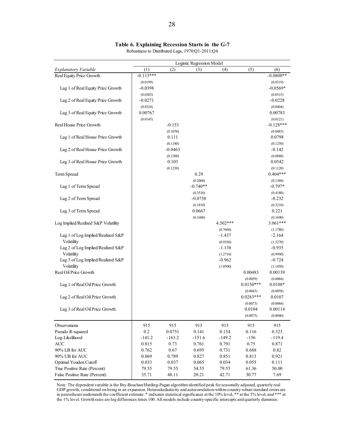#### **Table 6. Explaining Recession Starts in the G-7**

|                                     |             |           | Logistic Regression Model |          |             |             |
|-------------------------------------|-------------|-----------|---------------------------|----------|-------------|-------------|
| Explanatory Variable                | (1)         | (2)       | (3)                       | (4)      | (5)         | (6)         |
| Real Equity Price Growth            | $-0.113***$ |           |                           |          |             | $-0.0808**$ |
|                                     | (0.0199)    |           |                           |          |             | (0.0319)    |
| Lag 1 of Real Equity Price Growth   | $-0.0398$   |           |                           |          |             | $-0.0569*$  |
|                                     | (0.0303)    |           |                           |          |             | (0.0315)    |
| Lag 2 of Real Equity Price Growth   | $-0.0271$   |           |                           |          |             | $-0.0228$   |
|                                     | (0.0324)    |           |                           |          |             | (0.0404)    |
| Lag 3 of Real Equity Price Growth   | 0.00767     |           |                           |          |             | 0.00783     |
|                                     | (0.0145)    |           |                           |          |             | (0.0121)    |
| Real House Price Growth             |             | $-0.153$  |                           |          |             | $-0.128***$ |
|                                     |             | (0.1070)  |                           |          |             | (0.0483)    |
| Lag 1 of Real House Price Growth    |             | 0.111     |                           |          |             | 0.0798      |
|                                     |             | (0.1180)  |                           |          |             | (0.1250)    |
| Lag 2 of Real House Price Growth    |             | $-0.0463$ |                           |          |             | $-0.142$    |
|                                     |             | (0.1200)  |                           |          |             | (0.0888)    |
| Lag 3 of Real House Price Growth    |             | 0.103     |                           |          |             | 0.0542      |
|                                     |             | (0.1230)  |                           |          |             | (0.1120)    |
| Term Spread                         |             |           | 0.29                      |          |             | $0.404***$  |
|                                     |             |           | (0.2060)                  |          |             | (0.1360)    |
| Lag 1 of Term Spread                |             |           | $-0.740**$                |          |             | $-0.797*$   |
|                                     |             |           | (0.3510)                  |          |             | (0.4180)    |
| Lag 2 of Term Spread                |             |           | $-0.0758$                 |          |             | $-0.232$    |
|                                     |             |           | (0.1810)                  |          |             | (0.3210)    |
| Lag 3 of Term Spread                |             |           | 0.0667                    |          |             | 0.221       |
|                                     |             |           | (0.1600)                  |          |             | (0.1690)    |
| Log Implied/Realized S&P Volatility |             |           |                           | 4.502*** |             | $3.061***$  |
|                                     |             |           |                           | (0.7660) |             | (1.1780)    |
| Lag 1 of Log Implied/Realized S&P   |             |           |                           | $-1.437$ |             | $-2.164$    |
| Volatility                          |             |           |                           | (0.9350) |             | (1.5270)    |
| Lag 2 of Log Implied/Realized S&P   |             |           |                           | $-1.138$ |             | $-0.935$    |
| Volatility                          |             |           |                           | (1.2710) |             | (0.9990)    |
| Lag 3 of Log Implied/Realized S&P   |             |           |                           | $-0.962$ |             | $-0.724$    |
| Volatility                          |             |           |                           | (1.0500) |             | (1.1450)    |
| Real Oil Price Growth               |             |           |                           |          | 0.00483     | 0.00139     |
|                                     |             |           |                           |          | (0.0059)    | (0.0084)    |
| Lag 1 of Real Oil Price Growth      |             |           |                           |          | $0.0150***$ | $0.0108*$   |
|                                     |             |           |                           |          | (0.0043)    | (0.0058)    |
| Lag 2 of Real Oil Price Growth      |             |           |                           |          | $0.0283***$ | 0.0107      |
|                                     |             |           |                           |          | (0.0073)    | (0.0084)    |
| Lag 3 of Real Oil Price Growth      |             |           |                           |          | 0.0104      | 0.00114     |
|                                     |             |           |                           |          | (0.0075)    | (0.0040)    |
| Observations                        | 915         | 915       | 915                       | 915      | 915         | 915         |
| Pseudo R-squared                    | 0.2         | 0.0751    | 0.141                     | 0.154    | 0.116       | 0.323       |
| Log-Likelihood                      | $-141.2$    | $-163.2$  | $-151.6$                  | $-149.2$ | $-156$      | $-119.4$    |
| $\mbox{AUC}$                        | 0.815       | 0.73      | 0.761                     | 0.791    | 0.75        | 0.871       |
| 90% LB for AUC                      | 0.762       | 0.67      | 0.695                     | 0.731    | 0.688       | $0.82\,$    |

Robustness to Distributed Lags, 1970:Q1-2011:Q4

Note: The dependent variable is the Bry-Boschan/Harding-Pagan algorithm identified peak for seasonally adjusted, quarterly real GDP growth, conditional on being in an expansion. Heteroskedasticity and autocorrelation-within-country robust standard errors are in parentheses underneath the coefficient estimate. \* indicates statistical significance at the 10% level, \*\* at the 5% level, and \*\*\* at the 1% level. Growth rates are log differences times 100. All models include country-specific intercepts and quarterly dummies.

90% UB for AUC  $0.869$  0.789 0.827 0.851 0.813 0.921 Optimal Youden Cutoff 0.033 0.037 0.065 0.034 0.055 0.111 True Positive Rate (Percent) 79.55 79.55 54.55 79.55 61.36 50.00 False Positive Rate (Percent) 35.71 48.11 20.21 42.71 30.77 7.69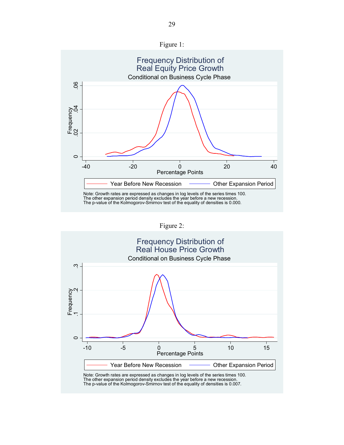



Figure 2:



The other expansion period density excludes the year before a new recession. The p-value of the Kolmogorov-Smirnov test of the equality of densities is 0.007.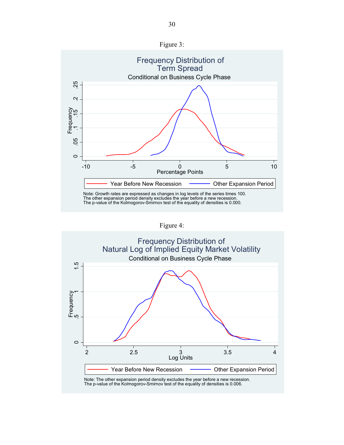



Figure 4:

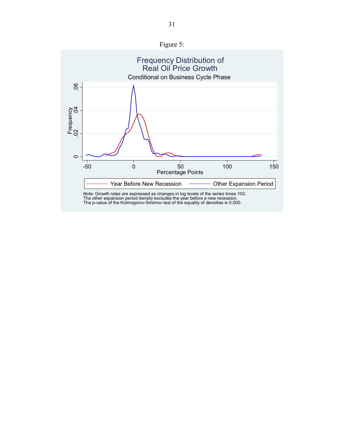

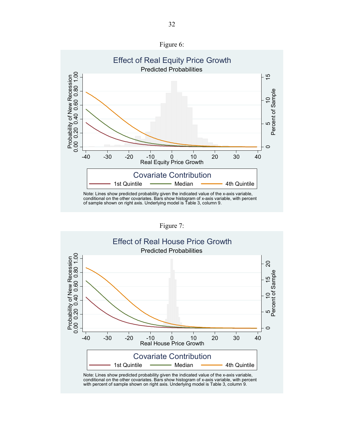



Figure 7:

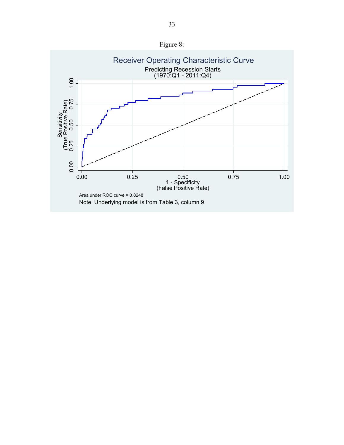